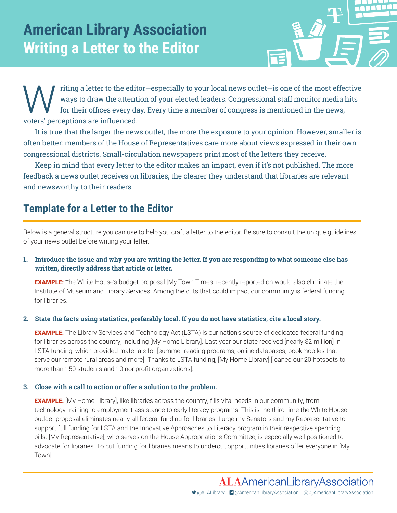

Titing a letter to the editor—especially to your local news outlet—is one of the most effective<br>ways to draw the attention of your elected leaders. Congressional staff monitor media hits<br>for their offices every day. Every ways to draw the attention of your elected leaders. Congressional staff monitor media hits for their offices every day. Every time a member of congress is mentioned in the news, voters' perceptions are influenced.

It is true that the larger the news outlet, the more the exposure to your opinion. However, smaller is often better: members of the House of Representatives care more about views expressed in their own congressional districts. Small-circulation newspapers print most of the letters they receive.

Keep in mind that every letter to the editor makes an impact, even if it's not published. The more feedback a news outlet receives on libraries, the clearer they understand that libraries are relevant and newsworthy to their readers.

# **Template for a Letter to the Editor**

Below is a general structure you can use to help you craft a letter to the editor. Be sure to consult the unique guidelines of your news outlet before writing your letter.

### **1. Introduce the issue and why you are writing the letter. If you are responding to what someone else has written, directly address that article or letter.**

**EXAMPLE:** The White House's budget proposal [My Town Times] recently reported on would also eliminate the Institute of Museum and Library Services. Among the cuts that could impact our community is federal funding for libraries.

### **2. State the facts using statistics, preferably local. If you do not have statistics, cite a local story.**

**EXAMPLE:** The Library Services and Technology Act (LSTA) is our nation's source of dedicated federal funding for libraries across the country, including [My Home Library]. Last year our state received [nearly \$2 million] in LSTA funding, which provided materials for [summer reading programs, online databases, bookmobiles that serve our remote rural areas and more]. Thanks to LSTA funding, [My Home Library] [loaned our 20 hotspots to more than 150 students and 10 nonprofit organizations].

#### **3. Close with a call to action or offer a solution to the problem.**

**EXAMPLE:** [My Home Library], like libraries across the country, fills vital needs in our community, from technology training to employment assistance to early literacy programs. This is the third time the White House budget proposal eliminates nearly all federal funding for libraries. I urge my Senators and my Representative to support full funding for LSTA and the Innovative Approaches to Literacy program in their respective spending bills. [My Representative], who serves on the House Appropriations Committee, is especially well‐positioned to advocate for libraries. To cut funding for libraries means to undercut opportunities libraries offer everyone in [My Town].